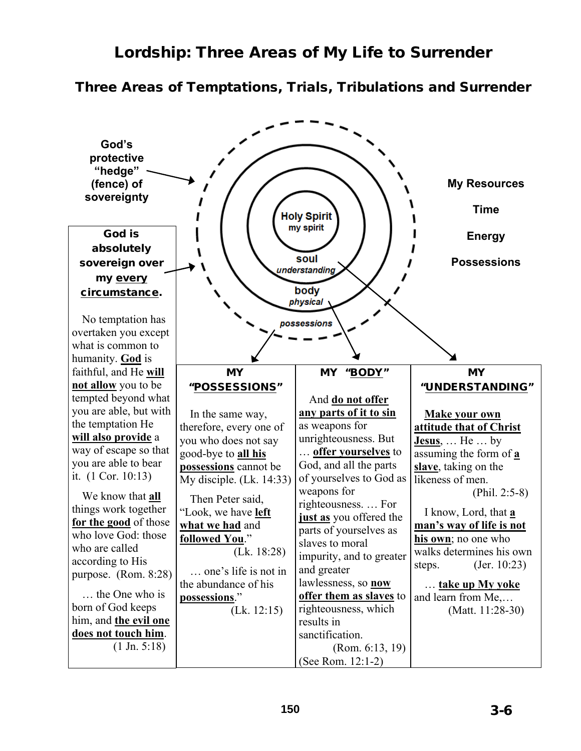## Lordship: Three Areas of My Life to Surrender

## Three Areas of Temptations, Trials, Tribulations and Surrender

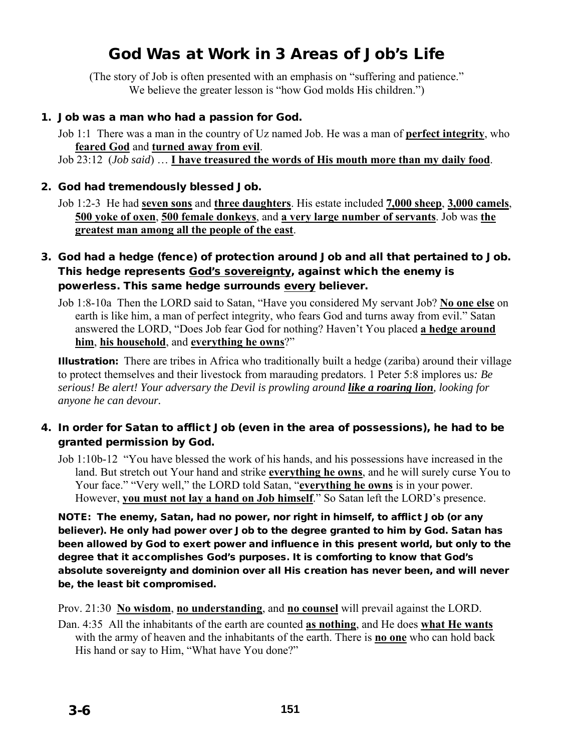# God Was at Work in 3 Areas of Job's Life

(The story of Job is often presented with an emphasis on "suffering and patience." We believe the greater lesson is "how God molds His children.")

#### 1. Job was a man who had a passion for God.

Job 1:1 There was a man in the country of Uz named Job. He was a man of **perfect integrity**, who **feared God** and **turned away from evil**. Job 23:12 (*Job said*) … **I have treasured the words of His mouth more than my daily food**.

#### 2. God had tremendously blessed Job.

## 3. God had a hedge (fence) of protection around Job and all that pertained to Job. This hedge represents God's sovereignty, against which the enemy is powerless. This same hedge surrounds every believer.

Job 1:8-10a Then the LORD said to Satan, "Have you considered My servant Job? **No one else** on earth is like him, a man of perfect integrity, who fears God and turns away from evil." Satan answered the LORD, "Does Job fear God for nothing? Haven't You placed **a hedge around him**, **his household**, and **everything he owns**?"

Illustration:There are tribes in Africa who traditionally built a hedge (zariba) around their village to protect themselves and their livestock from marauding predators. 1 Peter 5:8 implores us*: Be serious! Be alert! Your adversary the Devil is prowling around like a roaring lion, looking for anyone he can devour.*

#### 4. In order for Satan to afflict Job (even in the area of possessions), he had to be granted permission by God.

Job 1:10b-12 "You have blessed the work of his hands, and his possessions have increased in the land. But stretch out Your hand and strike **everything he owns**, and he will surely curse You to Your face." "Very well," the LORD told Satan, "**everything he owns** is in your power. However, **you must not lay a hand on Job himself**." So Satan left the LORD's presence.

NOTE: The enemy, Satan, had no power, nor right in himself, to afflict Job (or any believer). He only had power over Job to the degree granted to him by God. Satan has been allowed by God to exert power and influence in this present world, but only to the degree that it accomplishes God's purposes. It is comforting to know that God's absolute sovereignty and dominion over all His creation has never been, and will never be, the least bit compromised.

Prov. 21:30 **No wisdom**, **no understanding**, and **no counsel** will prevail against the LORD.

Dan. 4:35 All the inhabitants of the earth are counted **as nothing**, and He does **what He wants** with the army of heaven and the inhabitants of the earth. There is **no one** who can hold back His hand or say to Him, "What have You done?"

Job 1:2-3 He had **seven sons** and **three daughters**. His estate included **7,000 sheep**, **3,000 camels**, **500 yoke of oxen**, **500 female donkeys**, and **a very large number of servants**. Job was **the greatest man among all the people of the east**.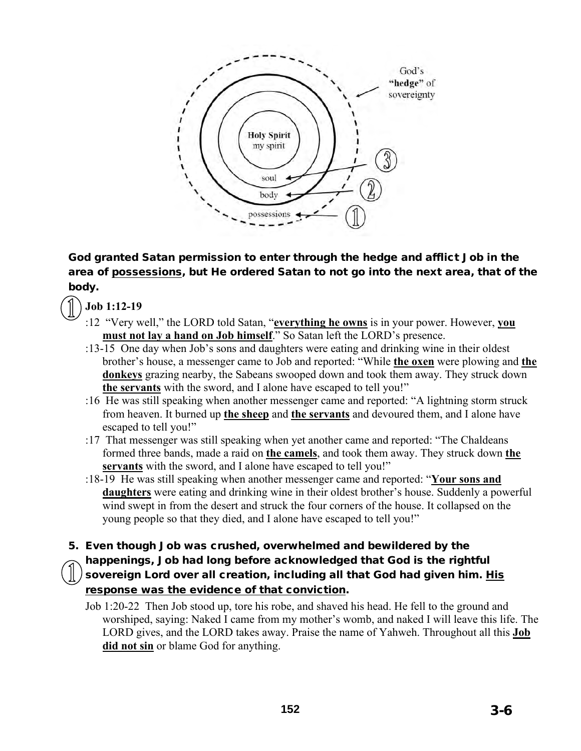

God granted Satan permission to enter through the hedge and afflict Job in the area of possessions, but He ordered Satan to not go into the next area, that of the body.

**Job 1:12-19** 

- :12 "Very well," the LORD told Satan, "**everything he owns** is in your power. However, **you must not lay a hand on Job himself**." So Satan left the LORD's presence.
- :13-15 One day when Job's sons and daughters were eating and drinking wine in their oldest brother's house, a messenger came to Job and reported: "While **the oxen** were plowing and **the donkeys** grazing nearby, the Sabeans swooped down and took them away. They struck down **the servants** with the sword, and I alone have escaped to tell you!"
- :16 He was still speaking when another messenger came and reported: "A lightning storm struck from heaven. It burned up **the sheep** and **the servants** and devoured them, and I alone have escaped to tell you!"
- :17 That messenger was still speaking when yet another came and reported: "The Chaldeans formed three bands, made a raid on **the camels**, and took them away. They struck down **the servants** with the sword, and I alone have escaped to tell you!"
- :18-19 He was still speaking when another messenger came and reported: "**Your sons and daughters** were eating and drinking wine in their oldest brother's house. Suddenly a powerful wind swept in from the desert and struck the four corners of the house. It collapsed on the young people so that they died, and I alone have escaped to tell you!"
- 5. Even though Job was crushed, overwhelmed and bewildered by the happenings, Job had long before acknowledged that God is the rightful sovereign Lord over all creation, including all that God had given him. His response was the evidence of that conviction.
	- Job 1:20-22 Then Job stood up, tore his robe, and shaved his head. He fell to the ground and worshiped, saying: Naked I came from my mother's womb, and naked I will leave this life. The LORD gives, and the LORD takes away. Praise the name of Yahweh. Throughout all this **Job did not sin** or blame God for anything.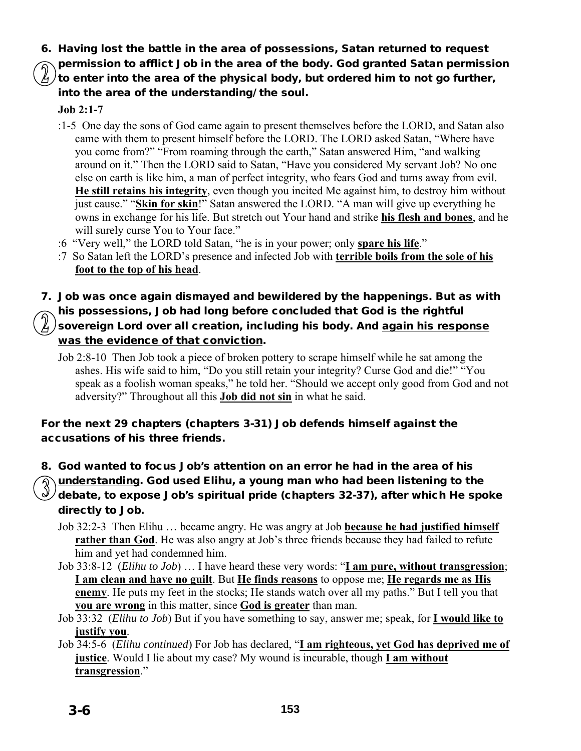- 6. Having lost the battle in the area of possessions, Satan returned to request
- permission to afflict Job in the area of the body. God granted Satan permission to enter into the area of the physical body, but ordered him to not go further, into the area of the understanding/ the soul.

## **Job 2:1-7**

- :1-5 One day the sons of God came again to present themselves before the LORD, and Satan also came with them to present himself before the LORD. The LORD asked Satan, "Where have you come from?" "From roaming through the earth," Satan answered Him, "and walking around on it." Then the LORD said to Satan, "Have you considered My servant Job? No one else on earth is like him, a man of perfect integrity, who fears God and turns away from evil. **He still retains his integrity**, even though you incited Me against him, to destroy him without just cause." "**Skin for skin**!" Satan answered the LORD. "A man will give up everything he owns in exchange for his life. But stretch out Your hand and strike **his flesh and bones**, and he will surely curse You to Your face."
- :6 "Very well," the LORD told Satan, "he is in your power; only **spare his life**."
- :7 So Satan left the LORD's presence and infected Job with **terrible boils from the sole of his foot to the top of his head**.

## 7. Job was once again dismayed and bewildered by the happenings. But as with his possessions, Job had long before concluded that God is the rightful sovereign Lord over all creation, including his body. And again his response was the evidence of that conviction.

Job 2:8-10Then Job took a piece of broken pottery to scrape himself while he sat among the ashes. His wife said to him, "Do you still retain your integrity? Curse God and die!" "You speak as a foolish woman speaks," he told her. "Should we accept only good from God and not adversity?" Throughout all this **Job did not sin** in what he said.

## For the next 29 chapters (chapters 3-31) Job defends himself against the accusations of his three friends.

- 8. God wanted to focus Job's attention on an error he had in the area of his
	- understanding. God used Elihu, a young man who had been listening to the  $\sqrt{}$ debate, to expose Job's spiritual pride (chapters 32-37), after which He spoke directly to Job.
		- Job 32:2-3 Then Elihu … became angry. He was angry at Job **because he had justified himself rather than God**. He was also angry at Job's three friends because they had failed to refute him and yet had condemned him.
		- Job 33:8-12 (*Elihu to Job*) … I have heard these very words: "**I am pure, without transgression**; **I am clean and have no guilt**. But **He finds reasons** to oppose me; **He regards me as His enemy**. He puts my feet in the stocks; He stands watch over all my paths." But I tell you that **you are wrong** in this matter, since **God is greater** than man.
		- Job 33:32(*Elihu to Job*) But if you have something to say, answer me; speak, for **I would like to justify you**.
		- Job 34:5-6 (*Elihu continued*) For Job has declared, "**I am righteous, yet God has deprived me of justice**. Would I lie about my case? My wound is incurable, though **I am without transgression**."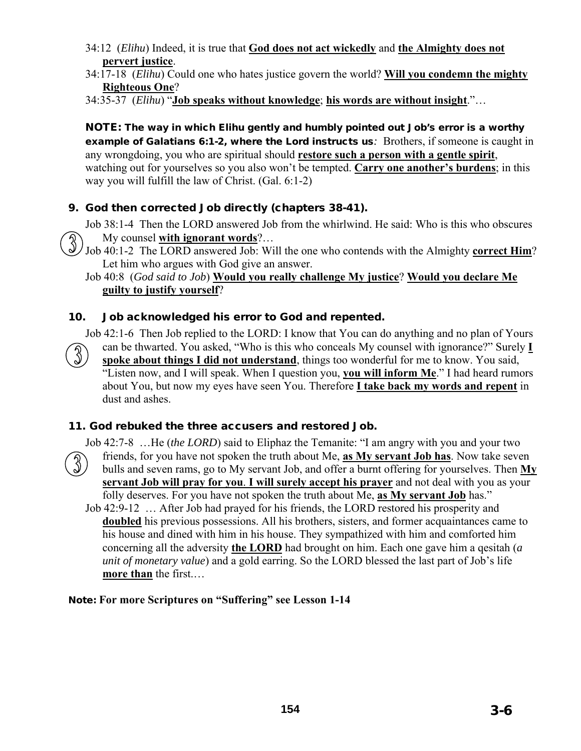- 34:12 (*Elihu*) Indeed, it is true that **God does not act wickedly** and **the Almighty does not pervert justice**.
- 34:17-18 (*Elihu*) Could one who hates justice govern the world? **Will you condemn the mighty Righteous One**?

34:35-37 (*Elihu*) "**Job speaks without knowledge**; **his words are without insight**."…

NOTE: The way in which Elihu gently and humbly pointed out Job's error is a worthy example of Galatians 6:1-2, where the Lord instructs us*:* Brothers, if someone is caught in any wrongdoing, you who are spiritual should **restore such a person with a gentle spirit**, watching out for yourselves so you also won't be tempted. **Carry one another's burdens**; in this way you will fulfill the law of Christ. (Gal. 6:1-2)

## 9. God then corrected Job directly (chapters 38-41).

Job 38:1-4 Then the LORD answered Job from the whirlwind. He said: Who is this who obscures My counsel **with ignorant words**?…



#### Job 40:8 (*God said to Job*) **Would you really challenge My justice**? **Would you declare Me guilty to justify yourself**?

#### 10. Job acknowledged his error to God and repented.

Job 42:1-6 Then Job replied to the LORD: I know that You can do anything and no plan of Yours can be thwarted. You asked, "Who is this who conceals My counsel with ignorance?" Surely **I spoke about things I did not understand**, things too wonderful for me to know. You said, "Listen now, and I will speak. When I question you, **you will inform Me**." I had heard rumors about You, but now my eyes have seen You. Therefore **I take back my words and repent** in dust and ashes.

#### 11. God rebuked the three accusers and restored Job.

Job 42:7-8 …He (*the LORD*) said to Eliphaz the Temanite: "I am angry with you and your two friends, for you have not spoken the truth about Me, **as My servant Job has**. Now take seven bulls and seven rams, go to My servant Job, and offer a burnt offering for yourselves. Then **My servant Job will pray for you**. **I will surely accept his prayer** and not deal with you as your folly deserves. For you have not spoken the truth about Me, **as My servant Job** has." Job 42:9-12 … After Job had prayed for his friends, the LORD restored his prosperity and **doubled** his previous possessions. All his brothers, sisters, and former acquaintances came to his house and dined with him in his house. They sympathized with him and comforted him concerning all the adversity **the LORD** had brought on him. Each one gave him a qesitah (*a unit of monetary value*) and a gold earring. So the LORD blessed the last part of Job's life **more than** the first.…

#### Note: **For more Scriptures on "Suffering" see Lesson 1-14**